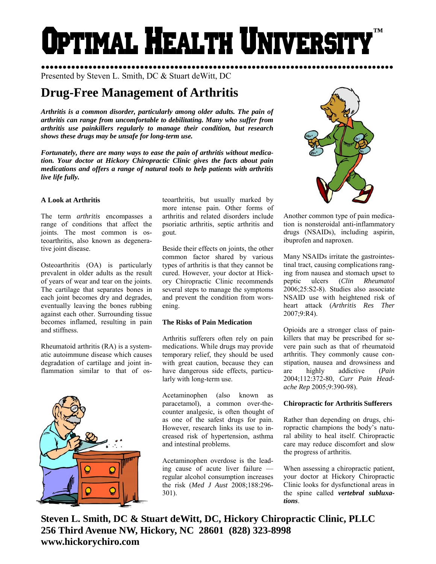# Optimal Health Universi **™**

●●●●●●●●●●●●●●●●●●●●●●●●●●●●●●●●●●●●●●●●●●●●●●●●●●●●●●●●●●●●●●●●●●●●●●●●●●●●●●●●●● Presented by Steven L. Smith, DC & Stuart deWitt, DC

# **Drug-Free Management of Arthritis**

*Arthritis is a common disorder, particularly among older adults. The pain of arthritis can range from uncomfortable to debilitating. Many who suffer from arthritis use painkillers regularly to manage their condition, but research shows these drugs may be unsafe for long-term use.* 

*Fortunately, there are many ways to ease the pain of arthritis without medication. Your doctor at Hickory Chiropractic Clinic gives the facts about pain medications and offers a range of natural tools to help patients with arthritis live life fully.* 

# **A Look at Arthritis**

The term *arthritis* encompasses a range of conditions that affect the joints. The most common is osteoarthritis, also known as degenerative joint disease.

Osteoarthritis (OA) is particularly prevalent in older adults as the result of years of wear and tear on the joints. The cartilage that separates bones in each joint becomes dry and degrades, eventually leaving the bones rubbing against each other. Surrounding tissue becomes inflamed, resulting in pain and stiffness.

Rheumatoid arthritis (RA) is a systematic autoimmune disease which causes degradation of cartilage and joint inflammation similar to that of os-



teoarthritis, but usually marked by more intense pain. Other forms of arthritis and related disorders include psoriatic arthritis, septic arthritis and gout.

Beside their effects on joints, the other common factor shared by various types of arthritis is that they cannot be cured. However, your doctor at Hickory Chiropractic Clinic recommends several steps to manage the symptoms and prevent the condition from worsening.

# **The Risks of Pain Medication**

Arthritis sufferers often rely on pain medications. While drugs may provide temporary relief, they should be used with great caution, because they can have dangerous side effects, particularly with long-term use.

Acetaminophen (also known as paracetamol), a common over-thecounter analgesic, is often thought of as one of the safest drugs for pain. However, research links its use to increased risk of hypertension, asthma and intestinal problems.

Acetaminophen overdose is the leading cause of acute liver failure regular alcohol consumption increases the risk (*Med J Aust* 2008;188:296- 301).



Another common type of pain medication is nonsteroidal anti-inflammatory drugs (NSAIDs), including aspirin, ibuprofen and naproxen.

Many NSAIDs irritate the gastrointestinal tract, causing complications ranging from nausea and stomach upset to peptic ulcers (*Clin Rheumatol* 2006;25:S2-8). Studies also associate NSAID use with heightened risk of heart attack (*Arthritis Res Ther* 2007;9:R4).

Opioids are a stronger class of painkillers that may be prescribed for severe pain such as that of rheumatoid arthritis. They commonly cause constipation, nausea and drowsiness and are highly addictive (*Pain* 2004;112:372-80, *Curr Pain Headache Rep* 2005;9:390-98).

# **Chiropractic for Arthritis Sufferers**

Rather than depending on drugs, chiropractic champions the body's natural ability to heal itself. Chiropractic care may reduce discomfort and slow the progress of arthritis.

When assessing a chiropractic patient, your doctor at Hickory Chiropractic Clinic looks for dysfunctional areas in the spine called *vertebral subluxations*.

**Steven L. Smith, DC & Stuart deWitt, DC, Hickory Chiropractic Clinic, PLLC 256 Third Avenue NW, Hickory, NC 28601 (828) 323-8998 www.hickorychiro.com**